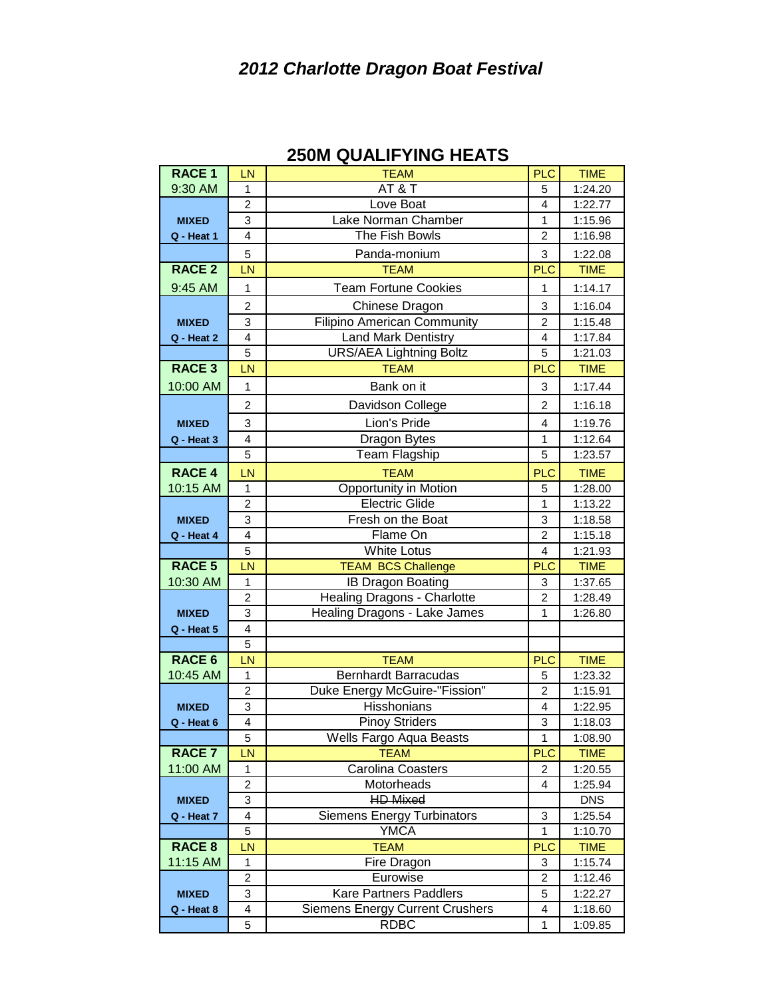## *2012 Charlotte Dragon Boat Festival*

| <b>RACE 1</b> | LN                      | <b>TEAM</b>                            | <b>PLC</b>        | <b>TIME</b>            |  |
|---------------|-------------------------|----------------------------------------|-------------------|------------------------|--|
| 9:30 AM       | $\mathbf{1}$            | AT&T                                   | 5                 | 1:24.20                |  |
|               | 2                       | Love Boat                              | 4                 | 1:22.77                |  |
| <b>MIXED</b>  | 3                       | Lake Norman Chamber                    | 1                 | 1:15.96                |  |
| Q - Heat 1    | $\overline{4}$          | The Fish Bowls                         | $\overline{2}$    | 1:16.98                |  |
|               | 5                       | Panda-monium                           | 3                 | 1:22.08                |  |
| <b>RACE 2</b> | LN                      | <b>TEAM</b>                            | <b>PLC</b>        | <b>TIME</b>            |  |
| 9:45 AM       | 1                       | <b>Team Fortune Cookies</b>            | 1                 | 1:14.17                |  |
|               | $\overline{\mathbf{c}}$ | Chinese Dragon                         | 3                 | 1:16.04                |  |
| <b>MIXED</b>  | 3                       | <b>Filipino American Community</b>     | 2                 | 1:15.48                |  |
| Q - Heat 2    | 4                       | <b>Land Mark Dentistry</b>             | 4                 | 1:17.84                |  |
|               | 5                       | <b>URS/AEA Lightning Boltz</b>         | 5                 | 1:21.03                |  |
| <b>RACE 3</b> | LN                      | <b>TEAM</b>                            | <b>PLC</b>        | <b>TIME</b>            |  |
| 10:00 AM      | $\mathbf{1}$            | Bank on it                             | 3                 | 1:17.44                |  |
|               | $\overline{c}$          | Davidson College                       | 2                 | 1:16.18                |  |
| <b>MIXED</b>  | 3                       | Lion's Pride                           | 4                 | 1:19.76                |  |
| Q - Heat 3    | 4                       | <b>Dragon Bytes</b>                    | 1                 | 1:12.64                |  |
|               | 5                       | Team Flagship                          | 5                 | 1:23.57                |  |
| <b>RACE 4</b> | LN                      | <b>TEAM</b>                            | <b>PLC</b>        | <b>TIME</b>            |  |
| 10:15 AM      | $\mathbf{1}$            | <b>Opportunity in Motion</b>           | 5                 | 1:28.00                |  |
|               | $\overline{2}$          | <b>Electric Glide</b>                  | $\mathbf{1}$      | 1:13.22                |  |
| <b>MIXED</b>  | 3                       | Fresh on the Boat                      | 3                 | 1:18.58                |  |
| Q - Heat 4    | $\overline{4}$          | Flame On                               | $\overline{2}$    | 1:15.18                |  |
|               |                         |                                        |                   |                        |  |
|               | 5                       | <b>White Lotus</b>                     | 4                 | 1:21.93                |  |
| <b>RACE 5</b> | LN                      | <b>TEAM BCS Challenge</b>              | <b>PLC</b>        | <b>TIME</b>            |  |
| 10:30 AM      | 1                       | <b>IB Dragon Boating</b>               | 3                 | 1:37.65                |  |
|               | $\overline{2}$          | Healing Dragons - Charlotte            | $\overline{2}$    | 1:28.49                |  |
| <b>MIXED</b>  | 3                       | Healing Dragons - Lake James           | 1                 | 1:26.80                |  |
| Q - Heat 5    | $\overline{4}$          |                                        |                   |                        |  |
|               | 5                       |                                        |                   |                        |  |
| <b>RACE 6</b> | LN                      | <b>TEAM</b>                            | <b>PLC</b>        | <b>TIME</b>            |  |
| 10:45 AM      | 1                       | <b>Bernhardt Barracudas</b>            | 5                 | 1:23.32                |  |
|               | $\overline{\mathbf{c}}$ | Duke Energy McGuire-"Fission"          | $\overline{c}$    | 1:15.91                |  |
| <b>MIXED</b>  | 3                       | Hisshonians                            | 4                 | 1:22.95                |  |
| $Q - Heat 6$  | $\overline{4}$          | <b>Pinoy Striders</b>                  | 3                 | 1:18.03                |  |
|               | 5                       | Wells Fargo Aqua Beasts                | 1                 | 1:08.90                |  |
| <b>RACE 7</b> | LN                      | <b>TEAM</b>                            | <b>PLC</b>        | <b>TIME</b>            |  |
| 11:00 AM      | 1                       | <b>Carolina Coasters</b>               | $\overline{2}$    | 1:20.55                |  |
|               | 2                       | Motorheads                             | 4                 | 1:25.94                |  |
| <b>MIXED</b>  | 3<br>4                  | <b>HD Mixed</b>                        |                   | <b>DNS</b>             |  |
| Q - Heat 7    | 5                       | <b>Siemens Energy Turbinators</b>      | 3<br>$\mathbf{1}$ | 1:25.54                |  |
| <b>RACE 8</b> | LN                      | <b>YMCA</b><br><b>TEAM</b>             | <b>PLC</b>        | 1:10.70<br><b>TIME</b> |  |
| 11:15 AM      | $\mathbf{1}$            | Fire Dragon                            | 3                 | 1:15.74                |  |
|               | 2                       | Eurowise                               | 2                 | 1:12.46                |  |
| <b>MIXED</b>  | 3                       | <b>Kare Partners Paddlers</b>          | 5                 | 1:22.27                |  |
| Q - Heat 8    | 4                       | <b>Siemens Energy Current Crushers</b> | 4                 | 1:18.60                |  |

## **250M QUALIFYING HEATS**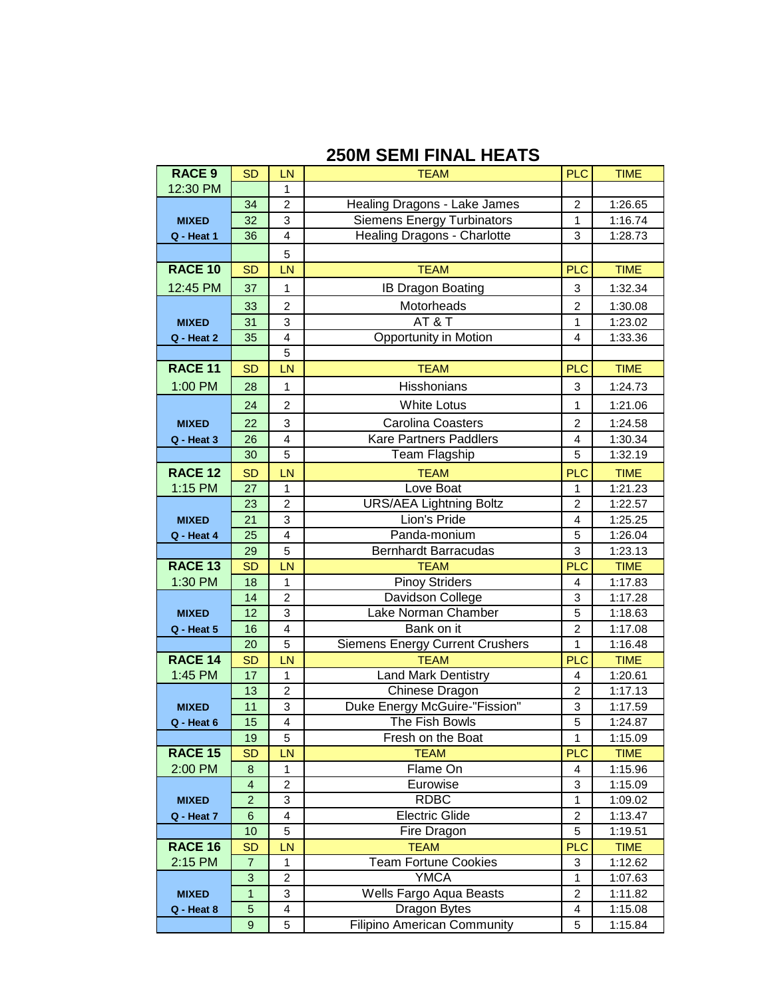## **250M SEMI FINAL HEATS**

| <b>RACE 9</b>      | <b>SD</b>       | LN                      | <b>TEAM</b>                            | <b>PLC</b>              | <b>TIME</b> |
|--------------------|-----------------|-------------------------|----------------------------------------|-------------------------|-------------|
| 12:30 PM           |                 | 1                       |                                        |                         |             |
|                    | 34              | $\overline{2}$          | Healing Dragons - Lake James           | $\overline{2}$          | 1:26.65     |
| <b>MIXED</b>       | 32              | 3                       | <b>Siemens Energy Turbinators</b>      | 1                       | 1:16.74     |
| Q - Heat 1         | 36              | $\overline{\mathbf{4}}$ | Healing Dragons - Charlotte            | 3                       | 1:28.73     |
|                    |                 | 5                       |                                        |                         |             |
| <b>RACE 10</b>     | <b>SD</b>       | LN                      | <b>TEAM</b>                            | <b>PLC</b>              | <b>TIME</b> |
| 12:45 PM           | 37              | 1                       | <b>IB Dragon Boating</b>               | 3                       | 1:32.34     |
|                    | 33              | $\overline{2}$          | Motorheads                             | $\overline{2}$          | 1:30.08     |
| <b>MIXED</b>       | 31              | 3                       | AT&T                                   | 1                       | 1:23.02     |
| Q - Heat 2         | 35              | $\overline{\mathbf{4}}$ | <b>Opportunity in Motion</b>           | 4                       | 1:33.36     |
|                    |                 | 5                       |                                        |                         |             |
| <b>RACE 11</b>     | <b>SD</b>       | LN                      | <b>TEAM</b>                            | <b>PLC</b>              | <b>TIME</b> |
|                    |                 |                         |                                        |                         |             |
| 1:00 PM            | 28              | 1                       | Hisshonians                            | 3                       | 1:24.73     |
|                    | 24              | $\overline{2}$          | <b>White Lotus</b>                     | 1                       | 1:21.06     |
| <b>MIXED</b>       | 22              | 3                       | <b>Carolina Coasters</b>               | $\overline{2}$          | 1:24.58     |
| Q - Heat 3         | 26              | $\overline{4}$          | Kare Partners Paddlers                 | 4                       | 1:30.34     |
|                    | 30              | 5                       | Team Flagship                          | 5                       | 1:32.19     |
| <b>RACE 12</b>     | <b>SD</b>       | LN                      | <b>TEAM</b>                            | <b>PLC</b>              | <b>TIME</b> |
| 1:15 PM            | 27              | 1                       | Love Boat                              | 1                       | 1:21.23     |
|                    | 23              | $\overline{c}$          | <b>URS/AEA Lightning Boltz</b>         | $\overline{c}$          | 1:22.57     |
| <b>MIXED</b>       | 21              | 3                       | Lion's Pride                           | 4                       | 1:25.25     |
| Q - Heat 4         | 25              | $\overline{4}$          | Panda-monium                           | 5                       | 1:26.04     |
|                    | 29              | 5                       | <b>Bernhardt Barracudas</b>            | 3                       | 1:23.13     |
| RACE <sub>13</sub> | <b>SD</b>       | LN                      | <b>TEAM</b>                            | <b>PLC</b>              | <b>TIME</b> |
| 1:30 PM            | 18              | 1                       | Pinoy Striders                         | 4                       | 1:17.83     |
|                    | 14              | $\overline{2}$          | Davidson College                       | 3                       | 1:17.28     |
| <b>MIXED</b>       | 12              | $\overline{3}$          | Lake Norman Chamber                    | 5                       | 1:18.63     |
| Q - Heat 5         | 16              | $\overline{\mathbf{4}}$ | Bank on it                             | $\overline{2}$          | 1:17.08     |
|                    | 20              | 5                       | <b>Siemens Energy Current Crushers</b> | 1                       | 1:16.48     |
| <b>RACE 14</b>     | <b>SD</b>       | LN                      | <b>TEAM</b>                            | <b>PLC</b>              | <b>TIME</b> |
| 1:45 PM            | 17              | 1                       | <b>Land Mark Dentistry</b>             | 4                       | 1:20.61     |
|                    | 13              | $\overline{2}$          | Chinese Dragon                         | $\overline{2}$          | 1:17.13     |
| <b>MIXED</b>       | 11              | 3                       | Duke Energy McGuire-"Fission"          | 3                       | 1:17.59     |
| Q - Heat 6         | 15              | 4                       | The Fish Bowls                         | 5                       | 1:24.87     |
|                    | 19              | 5                       | Fresh on the Boat                      | 1                       | 1:15.09     |
| <b>RACE 15</b>     | <b>SD</b>       | LN                      | <b>TEAM</b>                            | <b>PLC</b>              | <b>TIME</b> |
| 2:00 PM            | $\bf8$          | 1                       | Flame On                               | 4                       | 1:15.96     |
|                    | 4               | $\overline{c}$          | Eurowise                               | 3                       | 1:15.09     |
| <b>MIXED</b>       | $\overline{a}$  | 3                       | <b>RDBC</b>                            | 1                       | 1:09.02     |
| Q - Heat 7         | $6\phantom{1}6$ | 4                       | <b>Electric Glide</b>                  | $\overline{2}$          | 1:13.47     |
|                    | 10              | 5                       | Fire Dragon                            | 5                       | 1:19.51     |
| <b>RACE 16</b>     | <b>SD</b>       | LN                      | <b>TEAM</b>                            | <b>PLC</b>              | <b>TIME</b> |
| 2:15 PM            | $\overline{7}$  | 1                       | <b>Team Fortune Cookies</b>            | 3                       | 1:12.62     |
|                    | 3               | $\overline{2}$          | <b>YMCA</b>                            | 1                       | 1:07.63     |
| <b>MIXED</b>       | 1               | 3                       | Wells Fargo Aqua Beasts                | $\overline{\mathbf{c}}$ | 1:11.82     |
| Q - Heat 8         | $\overline{5}$  | 4                       | Dragon Bytes                           | 4                       | 1:15.08     |
|                    | 9               | 5                       | <b>Filipino American Community</b>     | 5                       | 1:15.84     |